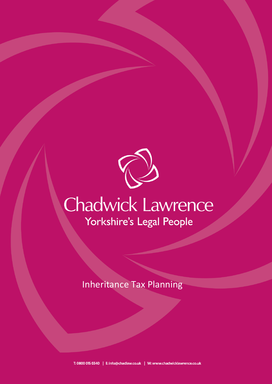

# Chadwick Lawrence Yorkshire's Legal People

Inheritance Tax Planning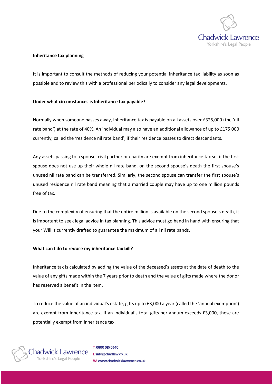

## **Inheritance tax planning**

It is important to consult the methods of reducing your potential inheritance tax liability as soon as possible and to review this with a professional periodically to consider any legal developments.

### **Under what circumstances is Inheritance tax payable?**

Normally when someone passes away, inheritance tax is payable on all assets over £325,000 (the 'nil rate band') at the rate of 40%. An individual may also have an additional allowance of up to £175,000 currently, called the 'residence nil rate band', if their residence passes to direct descendants.

Any assets passing to a spouse, civil partner or charity are exempt from inheritance tax so, if the first spouse does not use up their whole nil rate band, on the second spouse's death the first spouse's unused nil rate band can be transferred. Similarly, the second spouse can transfer the first spouse's unused residence nil rate band meaning that a married couple may have up to one million pounds free of tax.

Due to the complexity of ensuring that the entire million is available on the second spouse's death, it is important to seek legal advice in tax planning. This advice must go hand in hand with ensuring that your Will is currently drafted to guarantee the maximum of all nil rate bands.

#### **What can I do to reduce my inheritance tax bill?**

Inheritance tax is calculated by adding the value of the deceased's assets at the date of death to the value of any gifts made within the 7 years prior to death and the value of gifts made where the donor has reserved a benefit in the item.

To reduce the value of an individual's estate, gifts up to £3,000 a year (called the 'annual exemption') are exempt from inheritance tax. If an individual's total gifts per annum exceeds £3,000, these are potentially exempt from inheritance tax.

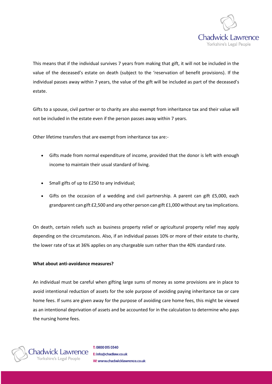

This means that if the individual survives 7 years from making that gift, it will not be included in the value of the deceased's estate on death (subject to the 'reservation of benefit provisions). If the individual passes away within 7 years, the value of the gift will be included as part of the deceased's estate.

Gifts to a spouse, civil partner or to charity are also exempt from inheritance tax and their value will not be included in the estate even if the person passes away within 7 years.

Other lifetime transfers that are exempt from inheritance tax are:-

- Gifts made from normal expenditure of income, provided that the donor is left with enough income to maintain their usual standard of living.
- Small gifts of up to £250 to any individual;
- Gifts on the occasion of a wedding and civil partnership. A parent can gift £5,000, each grandparent can gift £2,500 and any other person can gift £1,000 without any tax implications.

On death, certain reliefs such as business property relief or agricultural property relief may apply depending on the circumstances. Also, if an individual passes 10% or more of their estate to charity, the lower rate of tax at 36% applies on any chargeable sum rather than the 40% standard rate.

# **What about anti-avoidance measures?**

An individual must be careful when gifting large sums of money as some provisions are in place to avoid intentional reduction of assets for the sole purpose of avoiding paying inheritance tax or care home fees. If sums are given away for the purpose of avoiding care home fees, this might be viewed as an intentional deprivation of assets and be accounted for in the calculation to determine who pays the nursing home fees.



T: 0800 015 0340 E: info@chadlaw.co.uk W: www.chadwicklawrence.co.uk